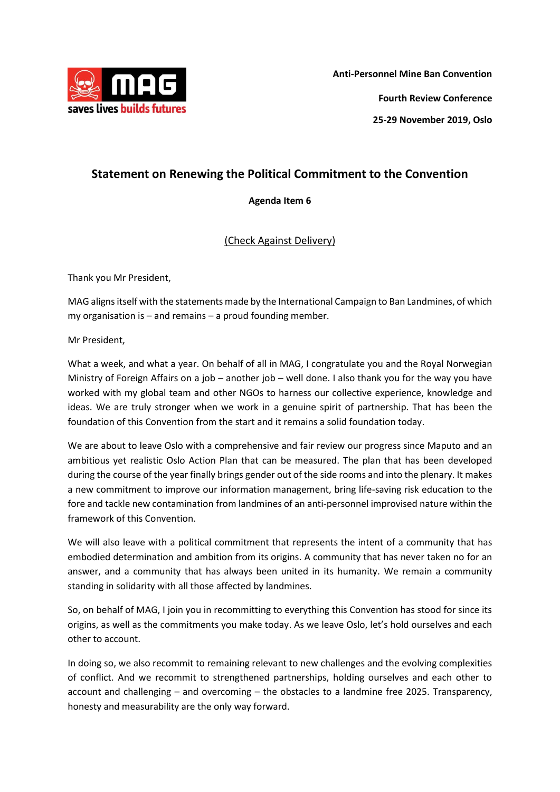

## **Statement on Renewing the Political Commitment to the Convention**

## **Agenda Item 6**

## (Check Against Delivery)

Thank you Mr President,

MAG aligns itself with the statements made by the International Campaign to Ban Landmines, of which my organisation is – and remains – a proud founding member.

Mr President,

What a week, and what a year. On behalf of all in MAG, I congratulate you and the Royal Norwegian Ministry of Foreign Affairs on a job – another job – well done. I also thank you for the way you have worked with my global team and other NGOs to harness our collective experience, knowledge and ideas. We are truly stronger when we work in a genuine spirit of partnership. That has been the foundation of this Convention from the start and it remains a solid foundation today.

We are about to leave Oslo with a comprehensive and fair review our progress since Maputo and an ambitious yet realistic Oslo Action Plan that can be measured. The plan that has been developed during the course of the year finally brings gender out of the side rooms and into the plenary. It makes a new commitment to improve our information management, bring life-saving risk education to the fore and tackle new contamination from landmines of an anti-personnel improvised nature within the framework of this Convention.

We will also leave with a political commitment that represents the intent of a community that has embodied determination and ambition from its origins. A community that has never taken no for an answer, and a community that has always been united in its humanity. We remain a community standing in solidarity with all those affected by landmines.

So, on behalf of MAG, I join you in recommitting to everything this Convention has stood for since its origins, as well as the commitments you make today. As we leave Oslo, let's hold ourselves and each other to account.

In doing so, we also recommit to remaining relevant to new challenges and the evolving complexities of conflict. And we recommit to strengthened partnerships, holding ourselves and each other to account and challenging – and overcoming – the obstacles to a landmine free 2025. Transparency, honesty and measurability are the only way forward.